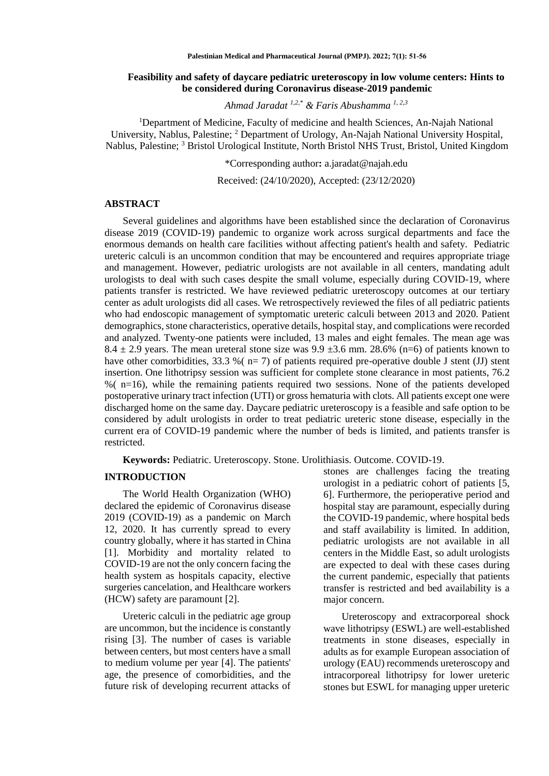## **Feasibility and safety of daycare pediatric ureteroscopy in low volume centers: Hints to be considered during Coronavirus disease-2019 pandemic**

*Ahmad Jaradat 1,2,\* & Faris Abushamma 1, 2,3*

<sup>1</sup>Department of Medicine, Faculty of medicine and health Sciences, An-Najah National University, Nablus, Palestine; <sup>2</sup> Department of Urology, An-Najah National University Hospital, Nablus, Palestine; <sup>3</sup> Bristol Urological Institute, North Bristol NHS Trust, Bristol, United Kingdom

\*Corresponding author**:** [a.jaradat@najah.edu](mailto:a.jaradat@najah.edu)

Received: (24/10/2020), Accepted: (23/12/2020)

#### **ABSTRACT**

Several guidelines and algorithms have been established since the declaration of Coronavirus disease 2019 (COVID-19) pandemic to organize work across surgical departments and face the enormous demands on health care facilities without affecting patient's health and safety. Pediatric ureteric calculi is an uncommon condition that may be encountered and requires appropriate triage and management. However, pediatric urologists are not available in all centers, mandating adult urologists to deal with such cases despite the small volume, especially during COVID-19, where patients transfer is restricted. We have reviewed pediatric ureteroscopy outcomes at our tertiary center as adult urologists did all cases. We retrospectively reviewed the files of all pediatric patients who had endoscopic management of symptomatic ureteric calculi between 2013 and 2020. Patient demographics, stone characteristics, operative details, hospital stay, and complications were recorded and analyzed. Twenty-one patients were included, 13 males and eight females. The mean age was 8.4  $\pm$  2.9 years. The mean ureteral stone size was 9.9  $\pm$ 3.6 mm. 28.6% (n=6) of patients known to have other comorbidities, 33.3 % ( $n=7$ ) of patients required pre-operative double J stent (JJ) stent insertion. One lithotripsy session was sufficient for complete stone clearance in most patients, 76.2 %( n=16), while the remaining patients required two sessions. None of the patients developed postoperative urinary tract infection (UTI) or gross hematuria with clots. All patients except one were discharged home on the same day. Daycare pediatric ureteroscopy is a feasible and safe option to be considered by adult urologists in order to treat pediatric ureteric stone disease, especially in the current era of COVID-19 pandemic where the number of beds is limited, and patients transfer is restricted.

**Keywords:** Pediatric. Ureteroscopy. Stone. Urolithiasis. Outcome. COVID-19.

#### **INTRODUCTION**

The World Health Organization (WHO) declared the epidemic of Coronavirus disease 2019 (COVID-19) as a pandemic on March 12, 2020. It has currently spread to every country globally, where it has started in China [\[1\]](#page-4-0). Morbidity and mortality related to COVID-19 are not the only concern facing the health system as hospitals capacity, elective surgeries cancelation, and Healthcare workers (HCW) safety are paramount [\[2\]](#page-4-1).

Ureteric calculi in the pediatric age group are uncommon, but the incidence is constantly rising [\[3\]](#page-4-2). The number of cases is variable between centers, but most centers have a small to medium volume per year [\[4\]](#page-4-3). The patients' age, the presence of comorbidities, and the future risk of developing recurrent attacks of

stones are challenges facing the treating urologist in a pediatric cohort of patients [\[5,](#page-4-4) [6\]](#page-4-5). Furthermore, the perioperative period and hospital stay are paramount, especially during the COVID-19 pandemic, where hospital beds and staff availability is limited. In addition, pediatric urologists are not available in all centers in the Middle East, so adult urologists are expected to deal with these cases during the current pandemic, especially that patients transfer is restricted and bed availability is a major concern.

Ureteroscopy and extracorporeal shock wave lithotripsy (ESWL) are well-established treatments in stone diseases, especially in adults as for example European association of urology (EAU) recommends ureteroscopy and intracorporeal lithotripsy for lower ureteric stones but ESWL for managing upper ureteric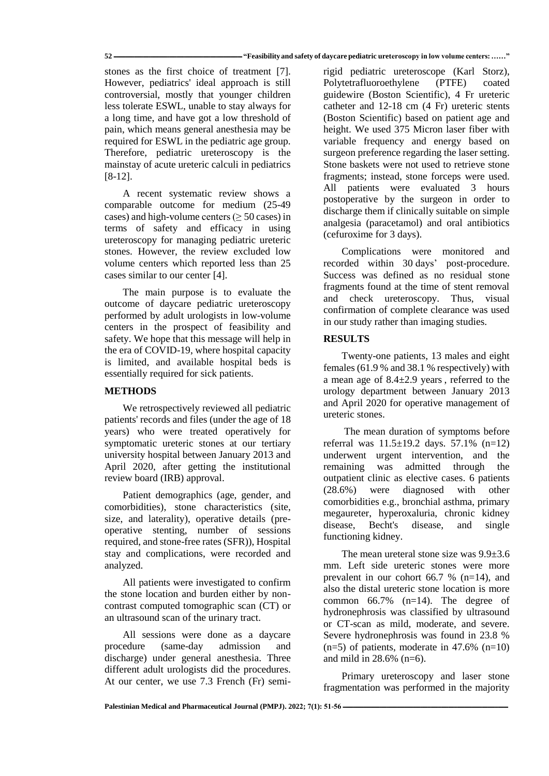stones as the first choice of treatment [\[7\]](#page-4-6). However, pediatrics' ideal approach is still controversial, mostly that younger children less tolerate ESWL, unable to stay always for a long time, and have got a low threshold of pain, which means general anesthesia may be required for ESWL in the pediatric age group. Therefore, pediatric ureteroscopy is the mainstay of acute ureteric calculi in pediatrics [\[8-12\]](#page-4-7).

A recent systematic review shows a comparable outcome for medium (25-49 cases) and high-volume centers ( $\geq 50$  cases) in terms of safety and efficacy in using ureteroscopy for managing pediatric ureteric stones. However, the review excluded low volume centers which reported less than 25 cases similar to our center [\[4\]](#page-4-3).

The main purpose is to evaluate the outcome of daycare pediatric ureteroscopy performed by adult urologists in low-volume centers in the prospect of feasibility and safety. We hope that this message will help in the era of COVID-19, where hospital capacity is limited, and available hospital beds is essentially required for sick patients.

## **METHODS**

We retrospectively reviewed all pediatric patients' records and files (under the age of 18 years) who were treated operatively for symptomatic ureteric stones at our tertiary university hospital between January 2013 and April 2020, after getting the institutional review board (IRB) approval.

Patient demographics (age, gender, and comorbidities), stone characteristics (site, size, and laterality), operative details (preoperative stenting, number of sessions required, and stone-free rates (SFR)), Hospital stay and complications, were recorded and analyzed.

All patients were investigated to confirm the stone location and burden either by noncontrast computed tomographic scan (CT) or an ultrasound scan of the urinary tract.

All sessions were done as a daycare procedure (same-day admission and discharge) under general anesthesia. Three different adult urologists did the procedures. At our center, we use 7.3 French (Fr) semi-

rigid pediatric ureteroscope (Karl Storz), Polytetrafluoroethylene (PTFE) coated guidewire (Boston Scientific), 4 Fr ureteric catheter and 12-18 cm (4 Fr) ureteric stents (Boston Scientific) based on patient age and height. We used 375 Micron laser fiber with variable frequency and energy based on surgeon preference regarding the laser setting. Stone baskets were not used to retrieve stone fragments; instead, stone forceps were used. All patients were evaluated 3 hours postoperative by the surgeon in order to discharge them if clinically suitable on simple analgesia (paracetamol) and oral antibiotics (cefuroxime for 3 days).

Complications were monitored and recorded within 30 days' post-procedure. Success was defined as no residual stone fragments found at the time of stent removal and check ureteroscopy. Thus, visual confirmation of complete clearance was used in our study rather than imaging studies.

# **RESULTS**

Twenty-one patients, 13 males and eight females (61.9 % and 38.1 % respectively) with a mean age of 8.4±2.9 years , referred to the urology department between January 2013 and April 2020 for operative management of ureteric stones.

The mean duration of symptoms before referral was 11.5±19.2 days. 57.1% (n=12) underwent urgent intervention, and the remaining was admitted through the outpatient clinic as elective cases. 6 patients (28.6%) were diagnosed with other comorbidities e.g., bronchial asthma, primary megaureter, hyperoxaluria, chronic kidney disease, Becht's disease, and single functioning kidney.

The mean ureteral stone size was 9.9±3.6 mm. Left side ureteric stones were more prevalent in our cohort 66.7 % (n=14), and also the distal ureteric stone location is more common 66.7% (n=14). The degree of hydronephrosis was classified by ultrasound or CT-scan as mild, moderate, and severe. Severe hydronephrosis was found in 23.8 %  $(n=5)$  of patients, moderate in 47.6%  $(n=10)$ and mild in 28.6% (n=6).

Primary ureteroscopy and laser stone fragmentation was performed in the majority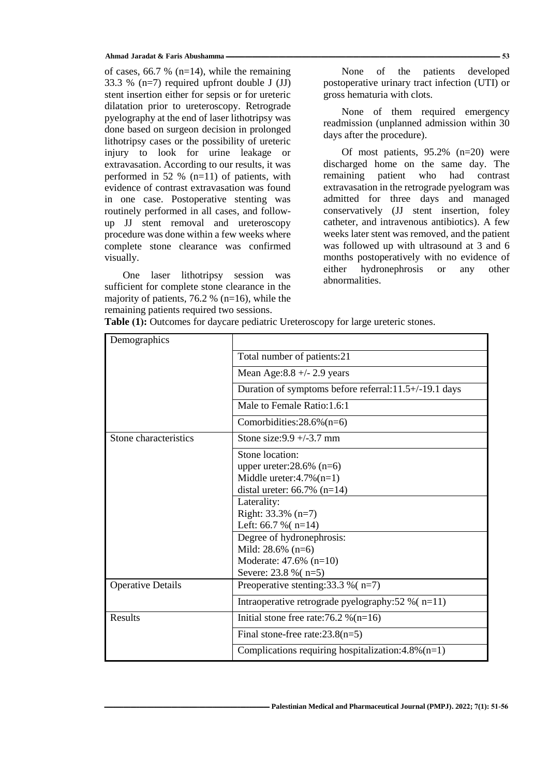#### **Ahmad Jaradat & Faris Abushamma ــــــــــــــــــــــــــــــــــــــــــــــــــــــــــــــــــــــــــــــــــــــــــــــــــــــــــــــــــــــــــــــــــــــــــــــــــــــــــــــــــــــــــــــــــــــــــــ 53**

of cases, 66.7 % ( $n=14$ ), while the remaining 33.3 % (n=7) required upfront double J (JJ) stent insertion either for sepsis or for ureteric dilatation prior to ureteroscopy. Retrograde pyelography at the end of laser lithotripsy was done based on surgeon decision in prolonged lithotripsy cases or the possibility of ureteric injury to look for urine leakage or extravasation. According to our results, it was performed in 52 % (n=11) of patients, with evidence of contrast extravasation was found in one case. Postoperative stenting was routinely performed in all cases, and followup JJ stent removal and ureteroscopy procedure was done within a few weeks where complete stone clearance was confirmed visually.

One laser lithotripsy session was sufficient for complete stone clearance in the majority of patients, 76.2 % ( $n=16$ ), while the remaining patients required two sessions.

None of the patients developed postoperative urinary tract infection (UTI) or gross hematuria with clots.

None of them required emergency readmission (unplanned admission within 30 days after the procedure).

Of most patients, 95.2% (n=20) were discharged home on the same day. The remaining patient who had contrast extravasation in the retrograde pyelogram was admitted for three days and managed conservatively (JJ stent insertion, foley catheter, and intravenous antibiotics). A few weeks later stent was removed, and the patient was followed up with ultrasound at 3 and 6 months postoperatively with no evidence of either hydronephrosis or any other abnormalities.

| Demographics             |                                                       |
|--------------------------|-------------------------------------------------------|
|                          | Total number of patients:21                           |
|                          | Mean Age: $8.8 +/- 2.9$ years                         |
|                          | Duration of symptoms before referral:11.5+/-19.1 days |
|                          | Male to Female Ratio: 1.6:1                           |
|                          | Comorbidities: $28.6\%$ (n=6)                         |
| Stone characteristics    | Stone size: $9.9 + (-3.7)$ mm                         |
|                          | Stone location:                                       |
|                          | upper ureter: $28.6\%$ (n=6)                          |
|                          | Middle ureter: $4.7\%$ (n=1)                          |
|                          | distal ureter: $66.7\%$ (n=14)                        |
|                          | Laterality:                                           |
|                          | Right: $33.3\%$ (n=7)                                 |
|                          | Left: $66.7 \%$ ( $n=14$ )                            |
|                          | Degree of hydronephrosis:                             |
|                          | Mild: $28.6\%$ (n=6)                                  |
|                          | Moderate: $47.6\%$ (n=10)                             |
|                          | Severe: 23.8 % (n=5)                                  |
| <b>Operative Details</b> | Preoperative stenting: $33.3\%$ (n=7)                 |
|                          | Intraoperative retrograde pyelography:52 % $(n=11)$   |
| Results                  | Initial stone free rate:76.2 % $(n=16)$               |
|                          | Final stone-free rate: $23.8(n=5)$                    |
|                          | Complications requiring hospitalization: 4.8% (n=1)   |

Table (1): Outcomes for daycare pediatric Ureteroscopy for large ureteric stones.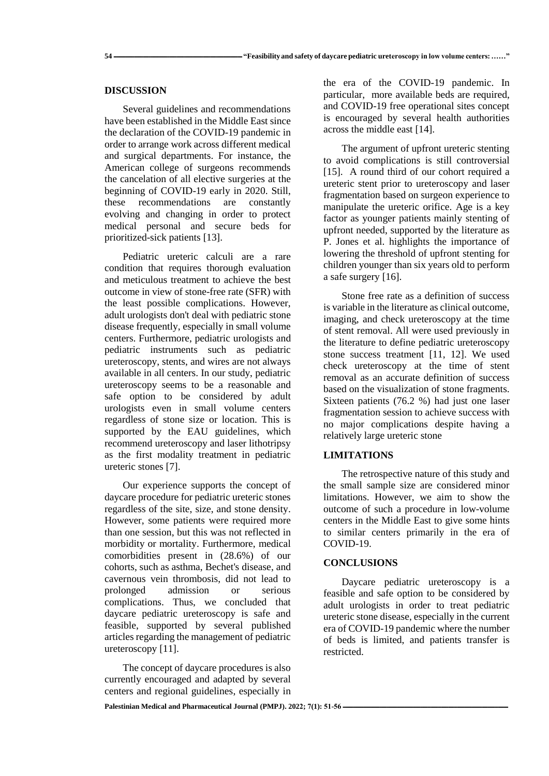### **DISCUSSION**

Several guidelines and recommendations have been established in the Middle East since the declaration of the COVID-19 pandemic in order to arrange work across different medical and surgical departments. For instance, the American college of surgeons recommends the cancelation of all elective surgeries at the beginning of COVID-19 early in 2020. Still, these recommendations are constantly evolving and changing in order to protect medical personal and secure beds for prioritized-sick patients [\[13\]](#page-4-8).

Pediatric ureteric calculi are a rare condition that requires thorough evaluation and meticulous treatment to achieve the best outcome in view of stone-free rate (SFR) with the least possible complications. However, adult urologists don't deal with pediatric stone disease frequently, especially in small volume centers. Furthermore, pediatric urologists and pediatric instruments such as pediatric ureteroscopy, stents, and wires are not always available in all centers. In our study, pediatric ureteroscopy seems to be a reasonable and safe option to be considered by adult urologists even in small volume centers regardless of stone size or location. This is supported by the EAU guidelines, which recommend ureteroscopy and laser lithotripsy as the first modality treatment in pediatric ureteric stones [\[7\]](#page-4-6).

Our experience supports the concept of daycare procedure for pediatric ureteric stones regardless of the site, size, and stone density. However, some patients were required more than one session, but this was not reflected in morbidity or mortality. Furthermore, medical comorbidities present in (28.6%) of our cohorts, such as asthma, Bechet's disease, and cavernous vein thrombosis, did not lead to prolonged admission or serious complications. Thus, we concluded that daycare pediatric ureteroscopy is safe and feasible, supported by several published articles regarding the management of pediatric ureteroscopy [\[11\]](#page-4-9).

The concept of daycare procedures is also currently encouraged and adapted by several centers and regional guidelines, especially in the era of the COVID-19 pandemic. In particular, more available beds are required, and COVID-19 free operational sites concept is encouraged by several health authorities across the middle east [\[14\]](#page-4-10).

The argument of upfront ureteric stenting to avoid complications is still controversial [\[15\]](#page-4-11). A round third of our cohort required a ureteric stent prior to ureteroscopy and laser fragmentation based on surgeon experience to manipulate the ureteric orifice. Age is a key factor as younger patients mainly stenting of upfront needed, supported by the literature as P. Jones et al. highlights the importance of lowering the threshold of upfront stenting for children younger than six years old to perform a safe surgery [\[16\]](#page-5-0).

Stone free rate as a definition of success is variable in the literature as clinical outcome, imaging, and check ureteroscopy at the time of stent removal. All were used previously in the literature to define pediatric ureteroscopy stone success treatment [\[11,](#page-4-9) [12\]](#page-4-12). We used check ureteroscopy at the time of stent removal as an accurate definition of success based on the visualization of stone fragments. Sixteen patients (76.2 %) had just one laser fragmentation session to achieve success with no major complications despite having a relatively large ureteric stone

## **LIMITATIONS**

The retrospective nature of this study and the small sample size are considered minor limitations. However, we aim to show the outcome of such a procedure in low-volume centers in the Middle East to give some hints to similar centers primarily in the era of COVID-19.

### **CONCLUSIONS**

Daycare pediatric ureteroscopy is a feasible and safe option to be considered by adult urologists in order to treat pediatric ureteric stone disease, especially in the current era of COVID-19 pandemic where the number of beds is limited, and patients transfer is restricted.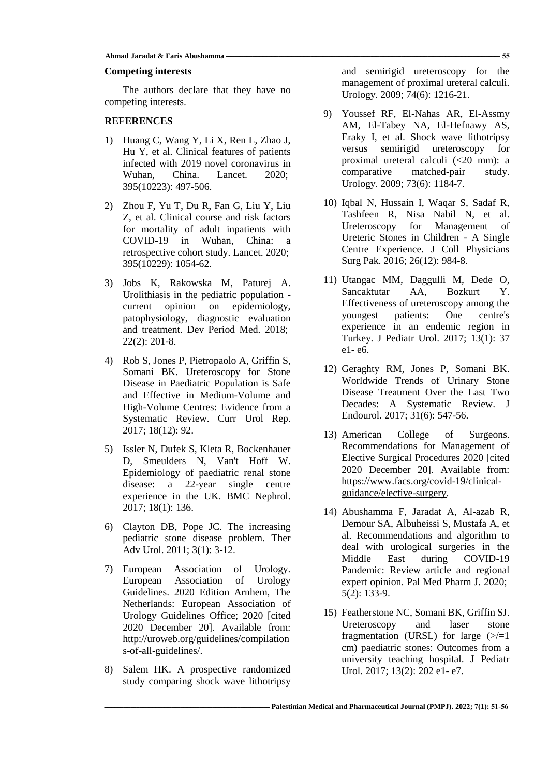## **Competing interests**

The authors declare that they have no competing interests.

# **REFERENCES**

- <span id="page-4-0"></span>1) Huang C, Wang Y, Li X, Ren L, Zhao J, Hu Y, et al. Clinical features of patients infected with 2019 novel coronavirus in Wuhan, China. Lancet. 2020; 395(10223): 497-506.
- <span id="page-4-1"></span>2) Zhou F, Yu T, Du R, Fan G, Liu Y, Liu Z, et al. Clinical course and risk factors for mortality of adult inpatients with COVID-19 in Wuhan, China: a retrospective cohort study. Lancet. 2020; 395(10229): 1054-62.
- <span id="page-4-2"></span>3) Jobs K, Rakowska M, Paturej A. Urolithiasis in the pediatric population current opinion on epidemiology, patophysiology, diagnostic evaluation and treatment. Dev Period Med. 2018; 22(2): 201-8.
- <span id="page-4-3"></span>4) Rob S, Jones P, Pietropaolo A, Griffin S, Somani BK. Ureteroscopy for Stone Disease in Paediatric Population is Safe and Effective in Medium-Volume and High-Volume Centres: Evidence from a Systematic Review. Curr Urol Rep. 2017; 18(12): 92.
- <span id="page-4-4"></span>5) Issler N, Dufek S, Kleta R, Bockenhauer D, Smeulders N, Van't Hoff W. Epidemiology of paediatric renal stone disease: a 22-year single centre experience in the UK. BMC Nephrol. 2017; 18(1): 136.
- <span id="page-4-5"></span>6) Clayton DB, Pope JC. The increasing pediatric stone disease problem. Ther Adv Urol. 2011; 3(1): 3-12.
- <span id="page-4-6"></span>7) European Association of Urology. European Association of Urology Guidelines. 2020 Edition Arnhem, The Netherlands: European Association of Urology Guidelines Office; 2020 [cited 2020 December 20]. Available from: [http://uroweb.org/guidelines/compilation](http://uroweb.org/guidelines/compilations-of-all-guidelines/) [s-of-all-guidelines/.](http://uroweb.org/guidelines/compilations-of-all-guidelines/)
- <span id="page-4-7"></span>8) Salem HK. A prospective randomized study comparing shock wave lithotripsy

and semirigid ureteroscopy for the management of proximal ureteral calculi. Urology. 2009; 74(6): 1216-21.

- 9) Youssef RF, El-Nahas AR, El-Assmy AM, El-Tabey NA, El-Hefnawy AS, Eraky I, et al. Shock wave lithotripsy versus semirigid ureteroscopy for proximal ureteral calculi (<20 mm): a comparative matched-pair study. Urology. 2009; 73(6): 1184-7.
- 10) Iqbal N, Hussain I, Waqar S, Sadaf R, Tashfeen R, Nisa Nabil N, et al. Ureteroscopy for Management of Ureteric Stones in Children - A Single Centre Experience. J Coll Physicians Surg Pak. 2016; 26(12): 984-8.
- <span id="page-4-9"></span>11) Utangac MM, Daggulli M, Dede O, Sancaktutar AA, Bozkurt Y. Effectiveness of ureteroscopy among the youngest patients: One centre's experience in an endemic region in Turkey. J Pediatr Urol. 2017; 13(1): 37 e1- e6.
- <span id="page-4-12"></span>12) Geraghty RM, Jones P, Somani BK. Worldwide Trends of Urinary Stone Disease Treatment Over the Last Two Decades: A Systematic Review. J Endourol. 2017; 31(6): 547-56.
- <span id="page-4-8"></span>13) American College of Surgeons. Recommendations for Management of Elective Surgical Procedures 2020 [cited 2020 December 20]. Available from: https:/[/www.facs.org/covid-19/clinical](http://www.facs.org/covid-19/clinical-guidance/elective-surgery)[guidance/elective-surgery.](http://www.facs.org/covid-19/clinical-guidance/elective-surgery)
- <span id="page-4-10"></span>14) Abushamma F, Jaradat A, Al-azab R, Demour SA, Albuheissi S, Mustafa A, et al. Recommendations and algorithm to deal with urological surgeries in the Middle East during COVID-19 Pandemic: Review article and regional expert opinion. Pal Med Pharm J. 2020; 5(2): 133-9.
- <span id="page-4-11"></span>15) Featherstone NC, Somani BK, Griffin SJ. Ureteroscopy and laser stone fragmentation (URSL) for large  $(\geq/=1$ cm) paediatric stones: Outcomes from a university teaching hospital. J Pediatr Urol. 2017; 13(2): 202 e1- e7.